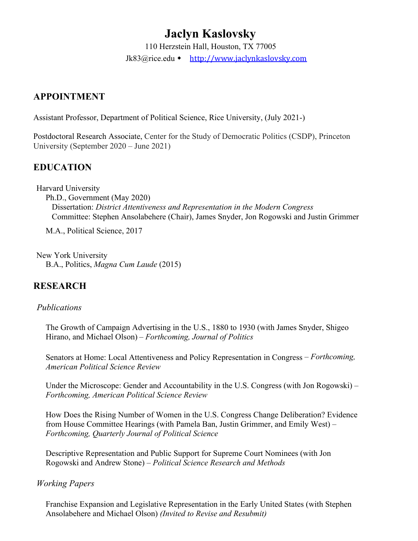# **Jaclyn Kaslovsky**

 110 Herzstein Hall, Houston, TX 77005 [Jk83@rice.edu](mailto:Jk83@rice.edu) • [http://www.jaclynkaslovsky.com](https://��http://www.jaclynkaslovsky.com)

## **APPOINTMENT**

Assistant Professor, Department of Political Science, Rice University, (July 2021-)

 University (September 2020 – June 2021) Postdoctoral Research Associate, Center for the Study of Democratic Politics (CSDP), Princeton

# **EDUCATION**

Harvard University Ph.D., Government (May 2020) Dissertation: *District Attentiveness and Representation in the Modern Congress*  Committee: Stephen Ansolabehere (Chair), James Snyder, Jon Rogowski and Justin Grimmer

M.A., Political Science, 2017

 B.A., Politics, *Magna Cum Laude* (2015) New York University

# **RESEARCH**

#### *Publications*

The Growth of Campaign Advertising in the U.S., 1880 to 1930 (with James Snyder, Shigeo Hirano, and Michael Olson) – *Forthcoming, Journal of Politics* 

Senators at Home: Local Attentiveness and Policy Representation in Congress – *Forthcoming, American Political Science Review* 

Under the Microscope: Gender and Accountability in the U.S. Congress (with Jon Rogowski) – *Forthcoming, American Political Science Review* 

 from House Committee Hearings (with Pamela Ban, Justin Grimmer, and Emily West) – How Does the Rising Number of Women in the U.S. Congress Change Deliberation? Evidence *Forthcoming, Quarterly Journal of Political Science* 

 Rogowski and Andrew Stone) – *Political Science Research and Methods Working Papers*  Descriptive Representation and Public Support for Supreme Court Nominees (with Jon

Franchise Expansion and Legislative Representation in the Early United States (with Stephen Ansolabehere and Michael Olson) *(Invited to Revise and Resubmit)*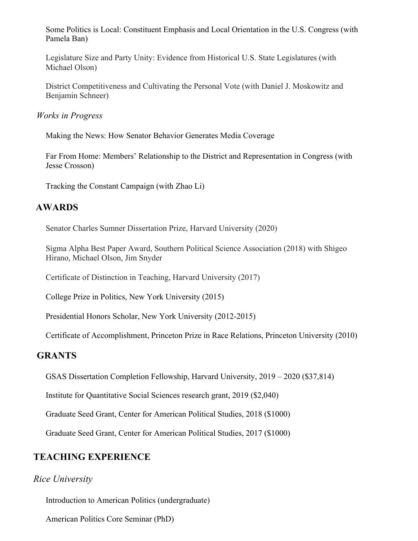Some Politics is Local: Constituent Emphasis and Local Orientation in the U.S. Congress (with Pamela Ban)

Legislature Size and Party Unity: Evidence from Historical U.S. State Legislatures (with Michael Olson)

District Competitiveness and Cultivating the Personal Vote (with Daniel J. Moskowitz and Benjamin Schneer)

 *Works in Progress* 

Making the News: How Senator Behavior Generates Media Coverage

Far From Home: Members' Relationship to the District and Representation in Congress (with Jesse Crosson)

Tracking the Constant Campaign (with Zhao Li)

### **AWARDS**

Senator Charles Sumner Dissertation Prize, Harvard University (2020)

Sigma Alpha Best Paper Award, Southern Political Science Association (2018) with Shigeo Hirano, Michael Olson, Jim Snyder

Certificate of Distinction in Teaching, Harvard University (2017)

College Prize in Politics, New York University (2015)

Presidential Honors Scholar, New York University (2012-2015)

Certificate of Accomplishment, Princeton Prize in Race Relations, Princeton University (2010)

#### **GRANTS**

GSAS Dissertation Completion Fellowship, Harvard University, 2019 – 2020 (\$37,814)

Institute for Quantitative Social Sciences research grant, 2019 (\$2,040)

Graduate Seed Grant, Center for American Political Studies, 2018 (\$1000)

Graduate Seed Grant, Center for American Political Studies, 2017 (\$1000)

### **TEACHING EXPERIENCE**

#### *Rice University*

Introduction to American Politics (undergraduate)

American Politics Core Seminar (PhD)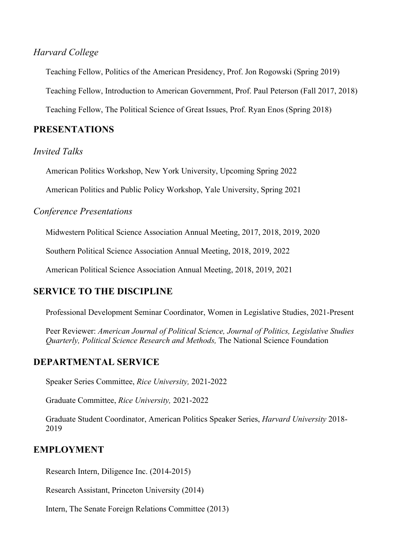#### *Harvard College*

Teaching Fellow, Politics of the American Presidency, Prof. Jon Rogowski (Spring 2019)

Teaching Fellow, Introduction to American Government, Prof. Paul Peterson (Fall 2017, 2018)

Teaching Fellow, The Political Science of Great Issues, Prof. Ryan Enos (Spring 2018)

#### **PRESENTATIONS**

#### *Invited Talks*

American Politics Workshop, New York University, Upcoming Spring 2022

American Politics and Public Policy Workshop, Yale University, Spring 2021

#### *Conference Presentations*

Midwestern Political Science Association Annual Meeting, 2017, 2018, 2019, 2020

Southern Political Science Association Annual Meeting, 2018, 2019, 2022

American Political Science Association Annual Meeting, 2018, 2019, 2021

#### **SERVICE TO THE DISCIPLINE**

Professional Development Seminar Coordinator, Women in Legislative Studies, 2021-Present

 *Quarterly, Political Science Research and Methods,* The National Science Foundation Peer Reviewer: *American Journal of Political Science, Journal of Politics, Legislative Studies* 

#### **DEPARTMENTAL SERVICE**

Speaker Series Committee, *Rice University,* 2021-2022

Graduate Committee, *Rice University,* 2021-2022

Graduate Student Coordinator, American Politics Speaker Series, *Harvard University* 2018- 2019

#### **EMPLOYMENT**

Research Intern, Diligence Inc. (2014-2015)

Research Assistant, Princeton University (2014)

Intern, The Senate Foreign Relations Committee (2013)